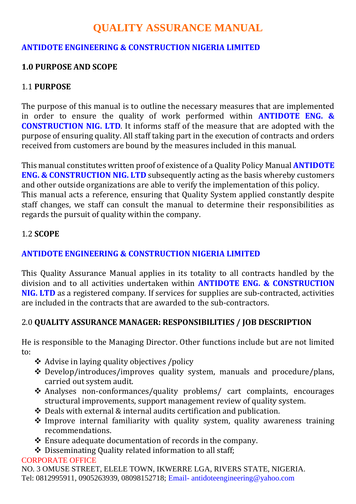# **QUALITY ASSURANCE MANUAL**

### **ANTIDOTE ENGINEERING & CONSTRUCTION NIGERIA LIMITED**

### **1.0 PURPOSE AND SCOPE**

### 1.1 **PURPOSE**

The purpose of this manual is to outline the necessary measures that are implemented in order to ensure the quality of work performed within **ANTIDOTE ENG. & CONSTRUCTION NIG. LTD**. It informs staff of the measure that are adopted with the purpose of ensuring quality. All staff taking part in the execution of contracts and orders received from customers are bound by the measures included in this manual.

This manual constitutes written proof of existence of a Quality Policy Manual **ANTIDOTE ENG. & CONSTRUCTION NIG. LTD** subsequently acting as the basis whereby customers and other outside organizations are able to verify the implementation of this policy. This manual acts a reference, ensuring that Quality System applied constantly despite staff changes, we staff can consult the manual to determine their responsibilities as regards the pursuit of quality within the company.

#### 1.2 **SCOPE**

### **ANTIDOTE ENGINEERING & CONSTRUCTION NIGERIA LIMITED**

This Quality Assurance Manual applies in its totality to all contracts handled by the division and to all activities undertaken within **ANTIDOTE ENG. & CONSTRUCTION NIG. LTD** as a registered company. If services for supplies are sub-contracted, activities are included in the contracts that are awarded to the sub-contractors.

### 2.0 **QUALITY ASSURANCE MANAGER: RESPONSIBILITIES / JOB DESCRIPTION**

He is responsible to the Managing Director. Other functions include but are not limited to:

- **❖** Advise in laying quality objectives /policy
- Develop/introduces/improves quality system, manuals and procedure/plans, carried out system audit.
- Analyses non-conformances/quality problems/ cart complaints, encourages structural improvements, support management review of quality system.
- Deals with external & internal audits certification and publication.
- $\cdot$  Improve internal familiarity with quality system, quality awareness training recommendations.
- Ensure adequate documentation of records in the company.
- Disseminating Quality related information to all staff;

#### CORPORATE OFFICE

NO. 3 OMUSE STREET, ELELE TOWN, IKWERRE LGA, RIVERS STATE, NIGERIA. Tel: 0812995911, 0905263939, 08098152718; Email- antidoteengineering@yahoo.com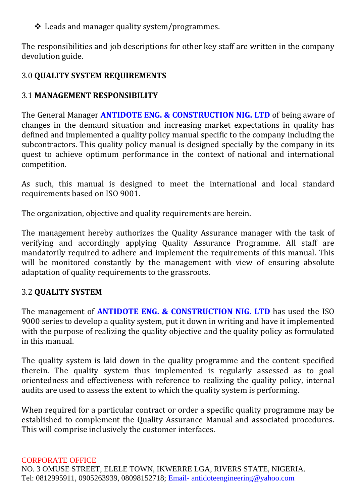## $\triangleleft$  Leads and manager quality system/programmes.

The responsibilities and job descriptions for other key staff are written in the company devolution guide.

# 3.0 **QUALITY SYSTEM REQUIREMENTS**

# 3.1 **MANAGEMENT RESPONSIBILITY**

The General Manager **ANTIDOTE ENG. & CONSTRUCTION NIG. LTD** of being aware of changes in the demand situation and increasing market expectations in quality has defined and implemented a quality policy manual specific to the company including the subcontractors. This quality policy manual is designed specially by the company in its quest to achieve optimum performance in the context of national and international competition.

As such, this manual is designed to meet the international and local standard requirements based on ISO 9001.

The organization, objective and quality requirements are herein.

The management hereby authorizes the Quality Assurance manager with the task of verifying and accordingly applying Quality Assurance Programme. All staff are mandatorily required to adhere and implement the requirements of this manual. This will be monitored constantly by the management with view of ensuring absolute adaptation of quality requirements to the grassroots.

### 3.2 **QUALITY SYSTEM**

The management of **ANTIDOTE ENG. & CONSTRUCTION NIG. LTD** has used the ISO 9000 series to develop a quality system, put it down in writing and have it implemented with the purpose of realizing the quality objective and the quality policy as formulated in this manual.

The quality system is laid down in the quality programme and the content specified therein. The quality system thus implemented is regularly assessed as to goal orientedness and effectiveness with reference to realizing the quality policy, internal audits are used to assess the extent to which the quality system is performing.

When required for a particular contract or order a specific quality programme may be established to complement the Quality Assurance Manual and associated procedures. This will comprise inclusively the customer interfaces.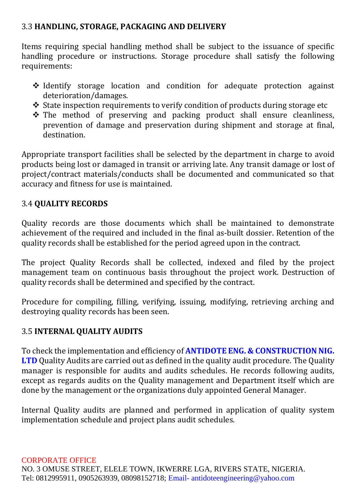### 3.3 **HANDLING, STORAGE, PACKAGING AND DELIVERY**

Items requiring special handling method shall be subject to the issuance of specific handling procedure or instructions. Storage procedure shall satisfy the following requirements:

- $\triangle$  Identify storage location and condition for adequate protection against deterioration/damages.
- State inspection requirements to verify condition of products during storage etc
- $\hat{\mathbf{v}}$  The method of preserving and packing product shall ensure cleanliness, prevention of damage and preservation during shipment and storage at final, destination.

Appropriate transport facilities shall be selected by the department in charge to avoid products being lost or damaged in transit or arriving late. Any transit damage or lost of project/contract materials/conducts shall be documented and communicated so that accuracy and fitness for use is maintained.

# 3.4 **QUALITY RECORDS**

Quality records are those documents which shall be maintained to demonstrate achievement of the required and included in the final as-built dossier. Retention of the quality records shall be established for the period agreed upon in the contract.

The project Quality Records shall be collected, indexed and filed by the project management team on continuous basis throughout the project work. Destruction of quality records shall be determined and specified by the contract.

Procedure for compiling, filling, verifying, issuing, modifying, retrieving arching and destroying quality records has been seen.

# 3.5 **INTERNAL QUALITY AUDITS**

To check the implementation and efficiency of **ANTIDOTE ENG. & CONSTRUCTION NIG. LTD** Quality Audits are carried out as defined in the quality audit procedure. The Quality manager is responsible for audits and audits schedules. He records following audits, except as regards audits on the Quality management and Department itself which are done by the management or the organizations duly appointed General Manager.

Internal Quality audits are planned and performed in application of quality system implementation schedule and project plans audit schedules.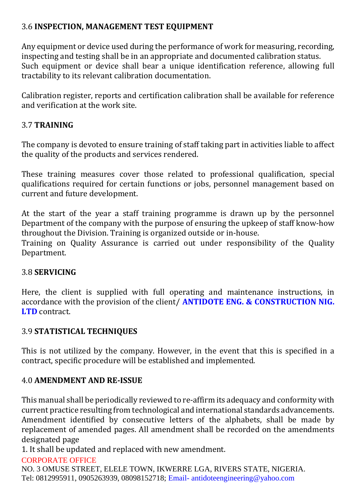### 3.6 **INSPECTION, MANAGEMENT TEST EQUIPMENT**

Any equipment or device used during the performance of work for measuring, recording, inspecting and testing shall be in an appropriate and documented calibration status. Such equipment or device shall bear a unique identification reference, allowing full tractability to its relevant calibration documentation.

Calibration register, reports and certification calibration shall be available for reference and verification at the work site.

### 3.7 **TRAINING**

The company is devoted to ensure training of staff taking part in activities liable to affect the quality of the products and services rendered.

These training measures cover those related to professional qualification, special qualifications required for certain functions or jobs, personnel management based on current and future development.

At the start of the year a staff training programme is drawn up by the personnel Department of the company with the purpose of ensuring the upkeep of staff know-how throughout the Division. Training is organized outside or in-house.

Training on Quality Assurance is carried out under responsibility of the Quality Department.

### 3.8 **SERVICING**

Here, the client is supplied with full operating and maintenance instructions, in accordance with the provision of the client/ **ANTIDOTE ENG. & CONSTRUCTION NIG. LTD** contract.

### 3.9 **STATISTICAL TECHNIQUES**

This is not utilized by the company. However, in the event that this is specified in a contract, specific procedure will be established and implemented.

### 4.0 **AMENDMENT AND RE-ISSUE**

This manual shall be periodically reviewed to re-affirm its adequacy and conformity with current practice resulting from technological and international standards advancements. Amendment identified by consecutive letters of the alphabets, shall be made by replacement of amended pages. All amendment shall be recorded on the amendments designated page

1. It shall be updated and replaced with new amendment.

#### CORPORATE OFFICE

NO. 3 OMUSE STREET, ELELE TOWN, IKWERRE LGA, RIVERS STATE, NIGERIA. Tel: 0812995911, 0905263939, 08098152718; Email- antidoteengineering@yahoo.com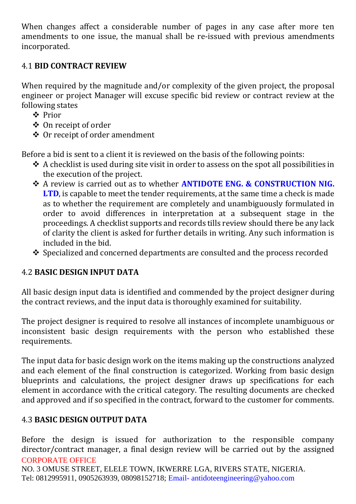When changes affect a considerable number of pages in any case after more ten amendments to one issue, the manual shall be re-issued with previous amendments incorporated.

### 4.1 **BID CONTRACT REVIEW**

When required by the magnitude and/or complexity of the given project, the proposal engineer or project Manager will excuse specific bid review or contract review at the following states

- Prior
- On receipt of order
- **❖** Or receipt of order amendment

Before a bid is sent to a client it is reviewed on the basis of the following points:

- A checklist is used during site visit in order to assess on the spot all possibilities in the execution of the project.
- A review is carried out as to whether **ANTIDOTE ENG. & CONSTRUCTION NIG. LTD**, is capable to meet the tender requirements, at the same time a check is made as to whether the requirement are completely and unambiguously formulated in order to avoid differences in interpretation at a subsequent stage in the proceedings. A checklist supports and records tills review should there be any lack of clarity the client is asked for further details in writing. Any such information is included in the bid.
- Specialized and concerned departments are consulted and the process recorded

### 4.2 **BASIC DESIGN INPUT DATA**

All basic design input data is identified and commended by the project designer during the contract reviews, and the input data is thoroughly examined for suitability.

The project designer is required to resolve all instances of incomplete unambiguous or inconsistent basic design requirements with the person who established these requirements.

The input data for basic design work on the items making up the constructions analyzed and each element of the final construction is categorized. Working from basic design blueprints and calculations, the project designer draws up specifications for each element in accordance with the critical category. The resulting documents are checked and approved and if so specified in the contract, forward to the customer for comments.

### 4.3 **BASIC DESIGN OUTPUT DATA**

CORPORATE OFFICE Before the design is issued for authorization to the responsible company director/contract manager, a final design review will be carried out by the assigned

NO. 3 OMUSE STREET, ELELE TOWN, IKWERRE LGA, RIVERS STATE, NIGERIA. Tel: 0812995911, 0905263939, 08098152718; Email- antidoteengineering@yahoo.com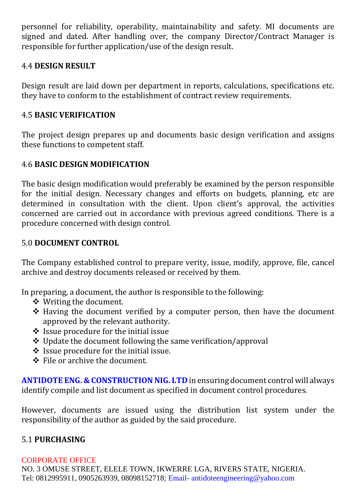personnel for reliability, operability, maintainability and safety. MI documents are signed and dated. After handling over, the company Director/Contract Manager is responsible for further application/use of the design result.

### 4.4 **DESIGN RESULT**

Design result are laid down per department in reports, calculations, specifications etc. they have to conform to the establishment of contract review requirements.

### 4.5 **BASIC VERIFICATION**

The project design prepares up and documents basic design verification and assigns these functions to competent staff.

### 4.6 **BASIC DESIGN MODIFICATION**

The basic design modification would preferably be examined by the person responsible for the initial design. Necessary changes and efforts on budgets, planning, etc are determined in consultation with the client. Upon client's approval, the activities concerned are carried out in accordance with previous agreed conditions. There is a procedure concerned with design control.

#### 5.0 **DOCUMENT CONTROL**

The Company established control to prepare verity, issue, modify, approve, file, cancel archive and destroy documents released or received by them.

In preparing, a document, the author is responsible to the following:

- Writing the document.
- $\triangle$  Having the document verified by a computer person, then have the document approved by the relevant authority.
- $\div$  Issue procedure for the initial issue
- $\div$  Update the document following the same verification/approval
- $\triangleq$  Issue procedure for the initial issue.
- File or archive the document.

**ANTIDOTE ENG. & CONSTRUCTION NIG. LTD** in ensuring document control will always identify compile and list document as specified in document control procedures.

However, documents are issued using the distribution list system under the responsibility of the author as guided by the said procedure.

### 5.1 **PURCHASING**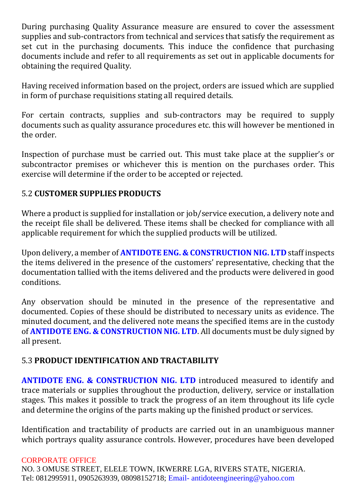During purchasing Quality Assurance measure are ensured to cover the assessment supplies and sub-contractors from technical and services that satisfy the requirement as set cut in the purchasing documents. This induce the confidence that purchasing documents include and refer to all requirements as set out in applicable documents for obtaining the required Quality.

Having received information based on the project, orders are issued which are supplied in form of purchase requisitions stating all required details.

For certain contracts, supplies and sub-contractors may be required to supply documents such as quality assurance procedures etc. this will however be mentioned in the order.

Inspection of purchase must be carried out. This must take place at the supplier's or subcontractor premises or whichever this is mention on the purchases order. This exercise will determine if the order to be accepted or rejected.

# 5.2 **CUSTOMER SUPPLIES PRODUCTS**

Where a product is supplied for installation or job/service execution, a delivery note and the receipt file shall be delivered. These items shall be checked for compliance with all applicable requirement for which the supplied products will be utilized.

Upon delivery, a member of **ANTIDOTE ENG. & CONSTRUCTION NIG. LTD** staff inspects the items delivered in the presence of the customers' representative, checking that the documentation tallied with the items delivered and the products were delivered in good conditions.

Any observation should be minuted in the presence of the representative and documented. Copies of these should be distributed to necessary units as evidence. The minuted document, and the delivered note means the specified items are in the custody of **ANTIDOTE ENG. & CONSTRUCTION NIG. LTD**. All documents must be duly signed by all present.

### 5.3 **PRODUCT IDENTIFICATION AND TRACTABILITY**

**ANTIDOTE ENG. & CONSTRUCTION NIG. LTD** introduced measured to identify and trace materials or supplies throughout the production, delivery, service or installation stages. This makes it possible to track the progress of an item throughout its life cycle and determine the origins of the parts making up the finished product or services.

Identification and tractability of products are carried out in an unambiguous manner which portrays quality assurance controls. However, procedures have been developed